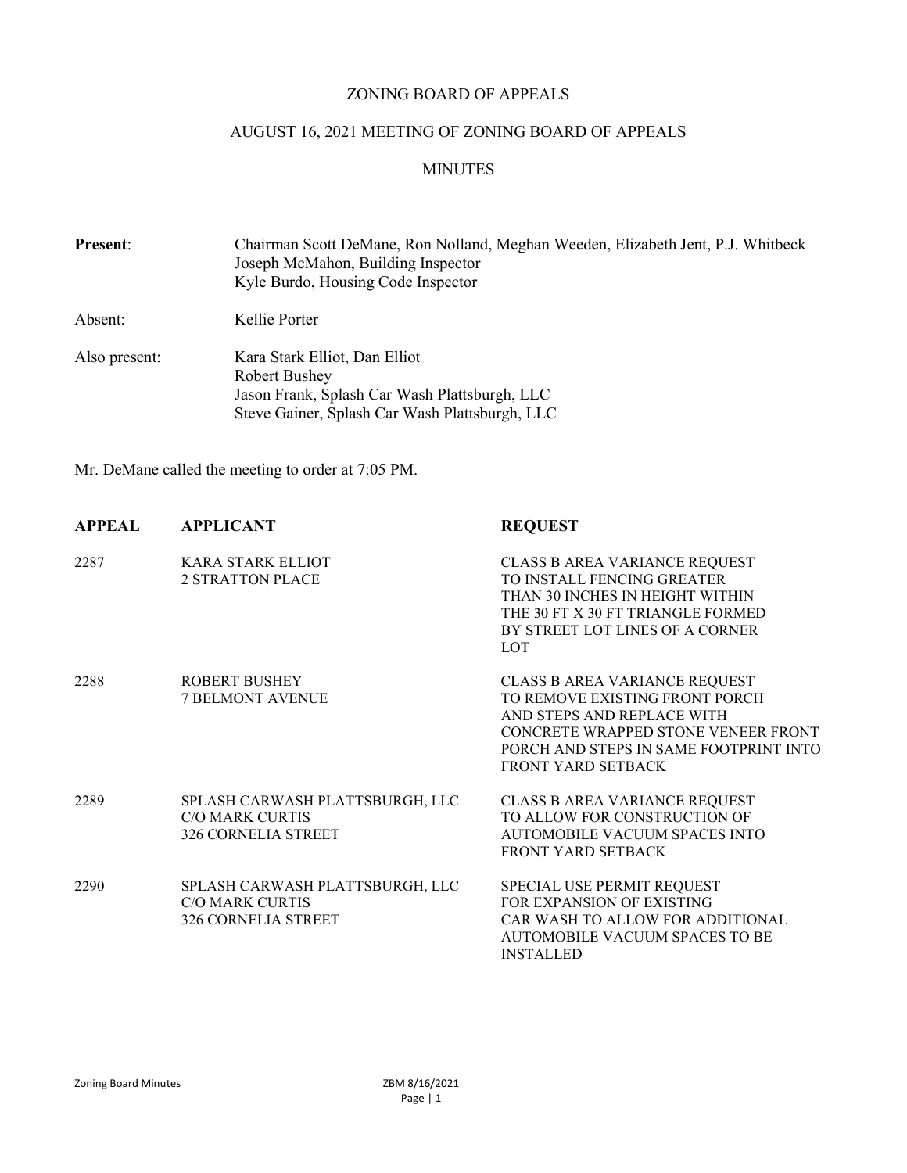#### ZONING BOARD OF APPEALS

## AUGUST 16, 2021 MEETING OF ZONING BOARD OF APPEALS

#### MINUTES

| Present:      | Chairman Scott DeMane, Ron Nolland, Meghan Weeden, Elizabeth Jent, P.J. Whitbeck<br>Joseph McMahon, Building Inspector<br>Kyle Burdo, Housing Code Inspector |  |  |
|---------------|--------------------------------------------------------------------------------------------------------------------------------------------------------------|--|--|
| Absent:       | Kellie Porter                                                                                                                                                |  |  |
| Also present: | Kara Stark Elliot, Dan Elliot<br><b>Robert Bushey</b>                                                                                                        |  |  |
|               | Jason Frank, Splash Car Wash Plattsburgh, LLC                                                                                                                |  |  |
|               | Steve Gainer, Splash Car Wash Plattsburgh, LLC                                                                                                               |  |  |

Mr. DeMane called the meeting to order at 7:05 PM.

| <b>APPEAL</b> | <b>APPLICANT</b>                                                                        | <b>REQUEST</b>                                                                                                                                                                                       |
|---------------|-----------------------------------------------------------------------------------------|------------------------------------------------------------------------------------------------------------------------------------------------------------------------------------------------------|
| 2287          | KARA STARK ELLIOT<br><b>2 STRATTON PLACE</b>                                            | CLASS B AREA VARIANCE REQUEST<br>TO INSTALL FENCING GREATER<br>THAN 30 INCHES IN HEIGHT WITHIN<br>THE 30 FT X 30 FT TRIANGLE FORMED<br>BY STREET LOT LINES OF A CORNER<br><b>LOT</b>                 |
| 2288          | <b>ROBERT BUSHEY</b><br><b>7 BELMONT AVENUE</b>                                         | CLASS B AREA VARIANCE REQUEST<br>TO REMOVE EXISTING FRONT PORCH<br>AND STEPS AND REPLACE WITH<br>CONCRETE WRAPPED STONE VENEER FRONT<br>PORCH AND STEPS IN SAME FOOTPRINT INTO<br>FRONT YARD SETBACK |
| 2289          | SPLASH CARWASH PLATTSBURGH, LLC<br><b>C/O MARK CURTIS</b><br><b>326 CORNELIA STREET</b> | CLASS B AREA VARIANCE REQUEST<br>TO ALLOW FOR CONSTRUCTION OF<br>AUTOMOBILE VACUUM SPACES INTO<br>FRONT YARD SETBACK                                                                                 |
| 2290          | SPLASH CARWASH PLATTSBURGH, LLC<br><b>C/O MARK CURTIS</b><br><b>326 CORNELIA STREET</b> | SPECIAL USE PERMIT REQUEST<br>FOR EXPANSION OF EXISTING<br>CAR WASH TO ALLOW FOR ADDITIONAL<br>AUTOMOBILE VACUUM SPACES TO BE<br><b>INSTALLED</b>                                                    |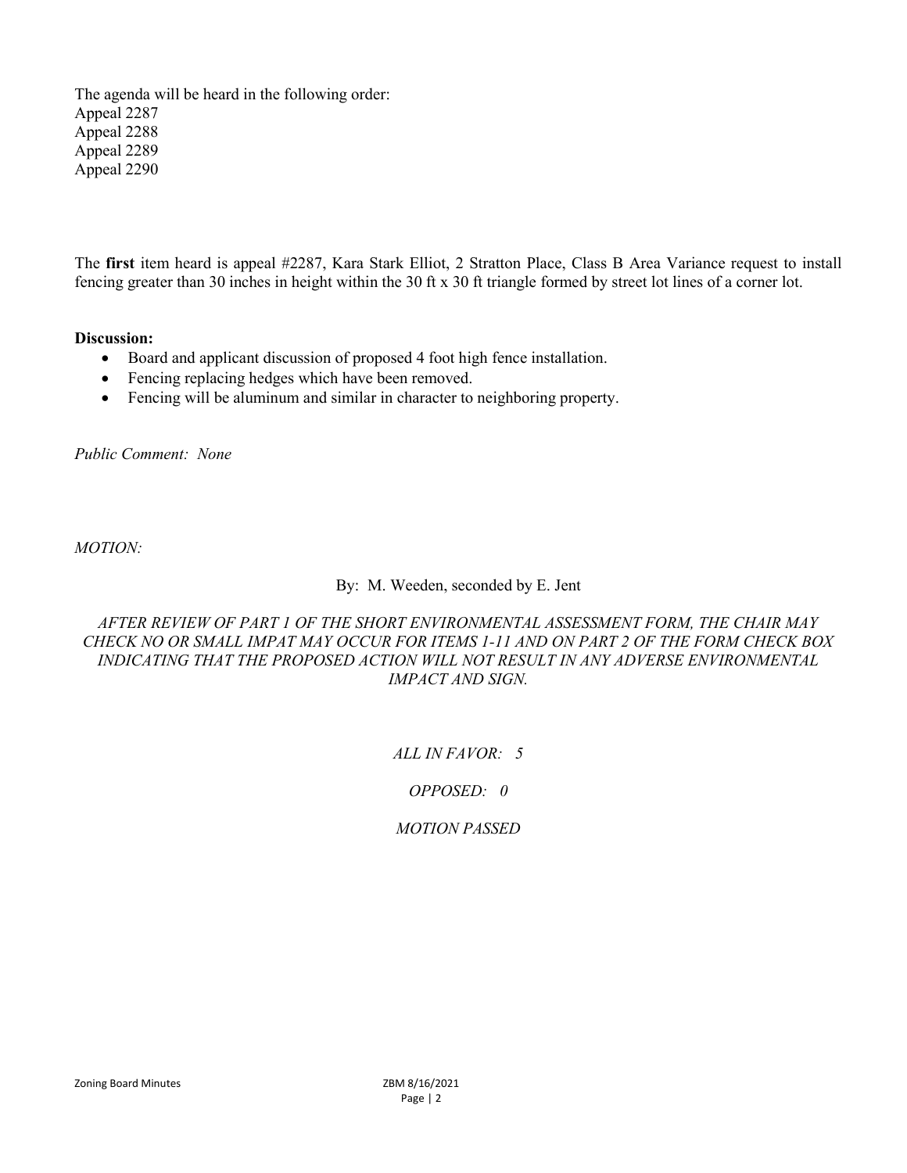The agenda will be heard in the following order: Appeal 2287 Appeal 2288 Appeal 2289 Appeal 2290

The first item heard is appeal #2287, Kara Stark Elliot, 2 Stratton Place, Class B Area Variance request to install fencing greater than 30 inches in height within the 30 ft x 30 ft triangle formed by street lot lines of a corner lot.

#### Discussion:

- Board and applicant discussion of proposed 4 foot high fence installation.
- Fencing replacing hedges which have been removed.
- Fencing will be aluminum and similar in character to neighboring property.

Public Comment: None

MOTION:

#### By: M. Weeden, seconded by E. Jent

### AFTER REVIEW OF PART 1 OF THE SHORT ENVIRONMENTAL ASSESSMENT FORM, THE CHAIR MAY CHECK NO OR SMALL IMPAT MAY OCCUR FOR ITEMS 1-11 AND ON PART 2 OF THE FORM CHECK BOX INDICATING THAT THE PROPOSED ACTION WILL NOT RESULT IN ANY ADVERSE ENVIRONMENTAL IMPACT AND SIGN.

## ALL IN FAVOR: 5

#### OPPOSED: 0

## MOTION PASSED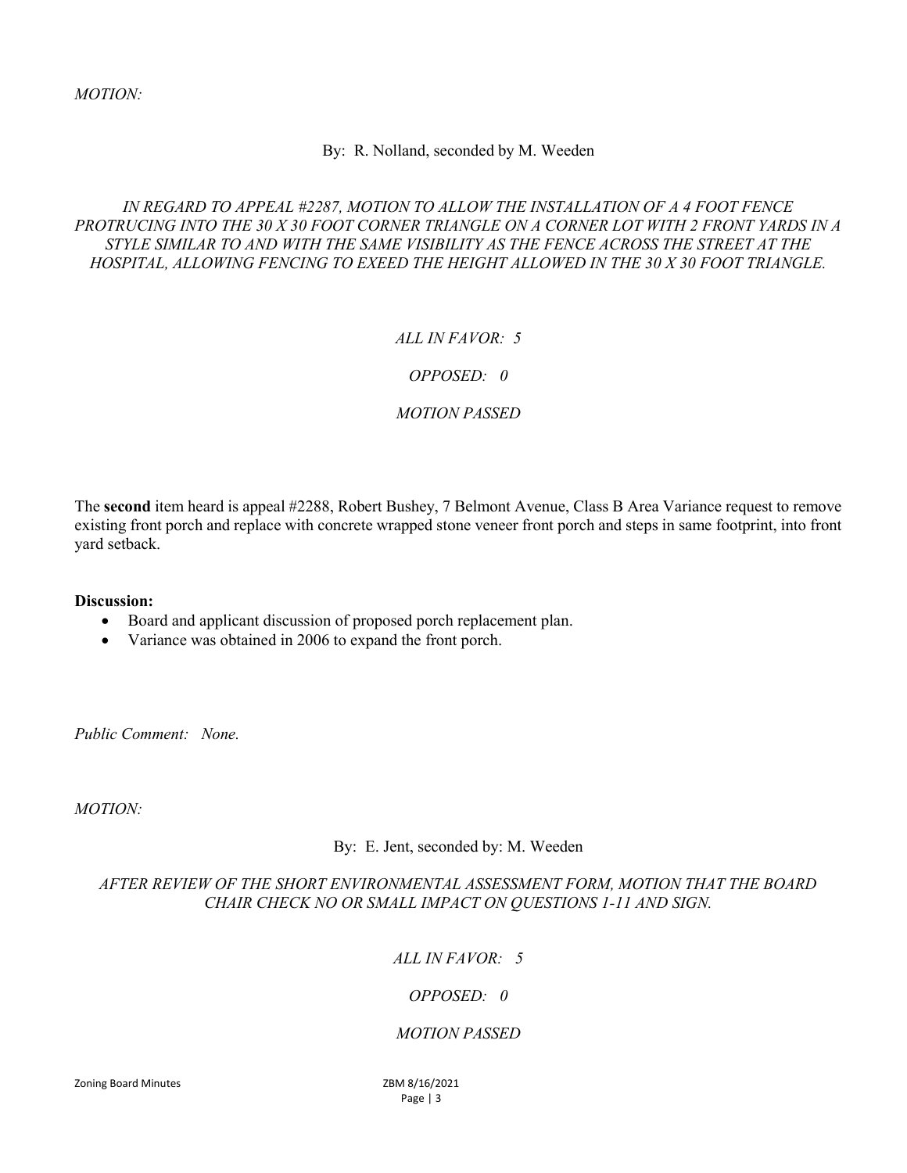MOTION:

### By: R. Nolland, seconded by M. Weeden

### IN REGARD TO APPEAL #2287, MOTION TO ALLOW THE INSTALLATION OF A 4 FOOT FENCE PROTRUCING INTO THE 30 X 30 FOOT CORNER TRIANGLE ON A CORNER LOT WITH 2 FRONT YARDS IN A STYLE SIMILAR TO AND WITH THE SAME VISIBILITY AS THE FENCE ACROSS THE STREET AT THE HOSPITAL, ALLOWING FENCING TO EXEED THE HEIGHT ALLOWED IN THE 30 X 30 FOOT TRIANGLE.

## ALL IN  $FAVOR \cdot 5$

## OPPOSED: 0

## MOTION PASSED

The second item heard is appeal #2288, Robert Bushey, 7 Belmont Avenue, Class B Area Variance request to remove existing front porch and replace with concrete wrapped stone veneer front porch and steps in same footprint, into front yard setback.

#### Discussion:

- Board and applicant discussion of proposed porch replacement plan.
- Variance was obtained in 2006 to expand the front porch.

Public Comment: None.

MOTION:

By: E. Jent, seconded by: M. Weeden

## AFTER REVIEW OF THE SHORT ENVIRONMENTAL ASSESSMENT FORM, MOTION THAT THE BOARD CHAIR CHECK NO OR SMALL IMPACT ON QUESTIONS 1-11 AND SIGN.

# ALL IN FAVOR: 5

## OPPOSED: 0

## MOTION PASSED

Zoning Board Minutes ZBM 8/16/2021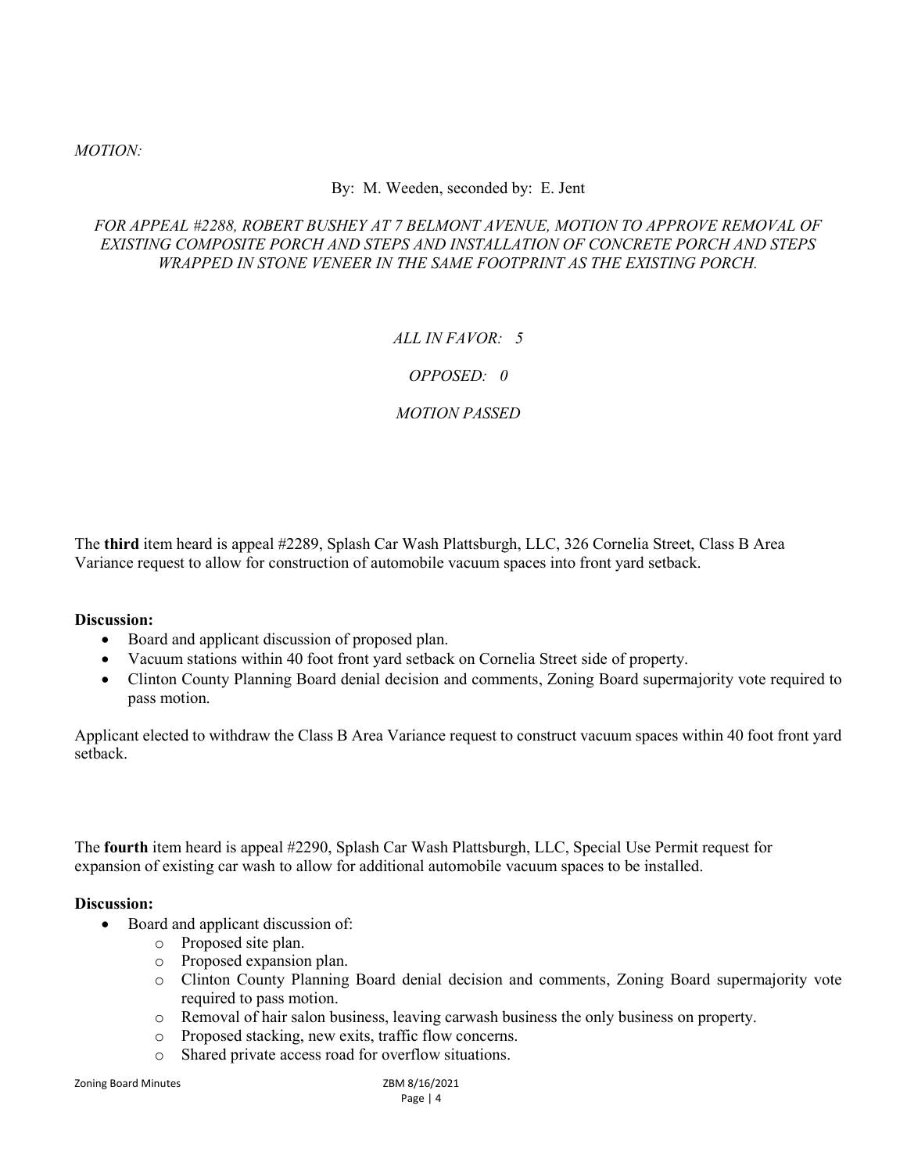### MOTION:

### By: M. Weeden, seconded by: E. Jent

### FOR APPEAL #2288, ROBERT BUSHEY AT 7 BELMONT AVENUE, MOTION TO APPROVE REMOVAL OF EXISTING COMPOSITE PORCH AND STEPS AND INSTALLATION OF CONCRETE PORCH AND STEPS WRAPPED IN STONE VENEER IN THE SAME FOOTPRINT AS THE EXISTING PORCH.

## ALL IN  $FAVOR \cdot 5$

## OPPOSED: 0

## MOTION PASSED

The third item heard is appeal #2289, Splash Car Wash Plattsburgh, LLC, 326 Cornelia Street, Class B Area Variance request to allow for construction of automobile vacuum spaces into front yard setback.

#### Discussion:

- Board and applicant discussion of proposed plan.
- Vacuum stations within 40 foot front yard setback on Cornelia Street side of property.
- Clinton County Planning Board denial decision and comments, Zoning Board supermajority vote required to pass motion.

Applicant elected to withdraw the Class B Area Variance request to construct vacuum spaces within 40 foot front yard setback.

The fourth item heard is appeal #2290, Splash Car Wash Plattsburgh, LLC, Special Use Permit request for expansion of existing car wash to allow for additional automobile vacuum spaces to be installed.

#### Discussion:

- Board and applicant discussion of:
	- o Proposed site plan.
	- o Proposed expansion plan.
	- o Clinton County Planning Board denial decision and comments, Zoning Board supermajority vote required to pass motion.
	- o Removal of hair salon business, leaving carwash business the only business on property.
	- o Proposed stacking, new exits, traffic flow concerns.
	- o Shared private access road for overflow situations.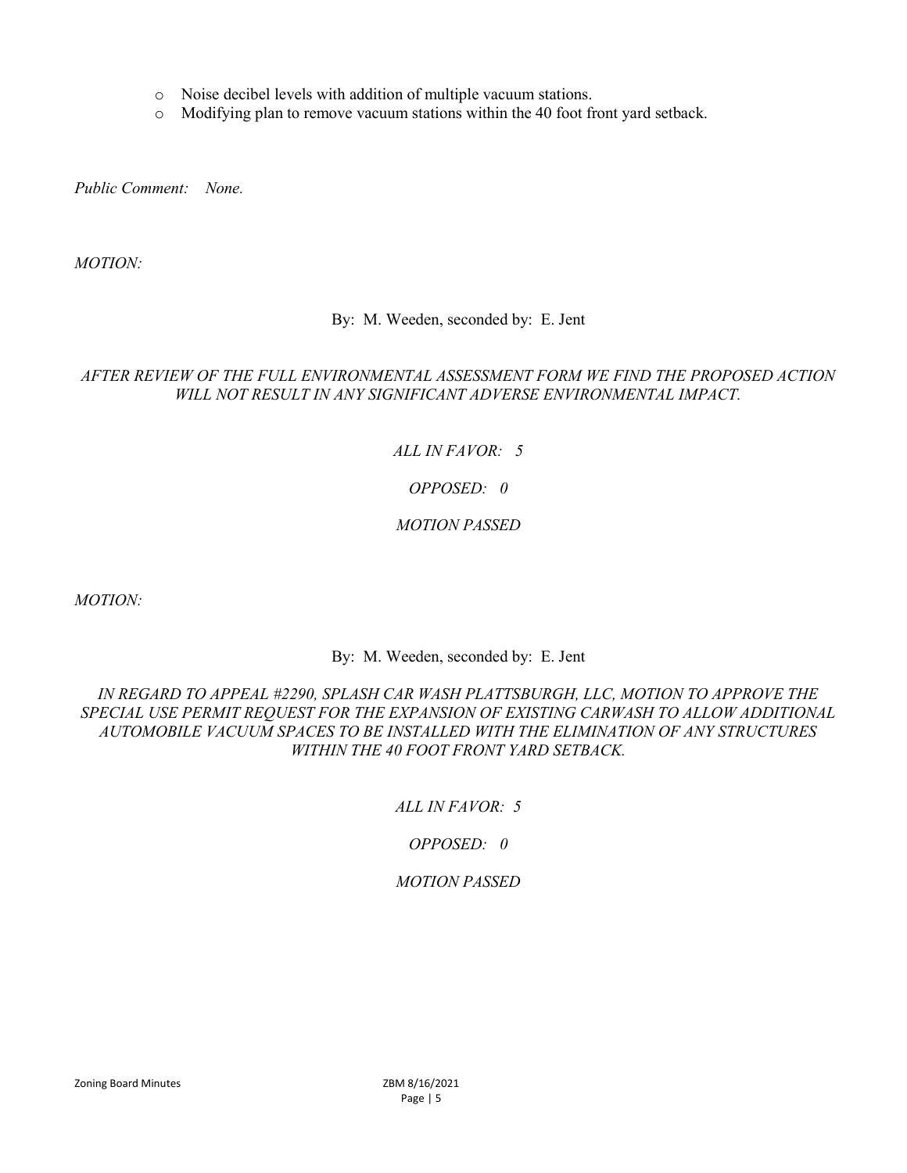- o Noise decibel levels with addition of multiple vacuum stations.
- o Modifying plan to remove vacuum stations within the 40 foot front yard setback.

Public Comment: None.

MOTION:

#### By: M. Weeden, seconded by: E. Jent

### AFTER REVIEW OF THE FULL ENVIRONMENTAL ASSESSMENT FORM WE FIND THE PROPOSED ACTION WILL NOT RESULT IN ANY SIGNIFICANT ADVERSE ENVIRONMENTAL IMPACT.

## ALL IN FAVOR: 5

### OPPOSED: 0

### MOTION PASSED

MOTION:

By: M. Weeden, seconded by: E. Jent

### IN REGARD TO APPEAL #2290, SPLASH CAR WASH PLATTSBURGH, LLC, MOTION TO APPROVE THE SPECIAL USE PERMIT REQUEST FOR THE EXPANSION OF EXISTING CARWASH TO ALLOW ADDITIONAL AUTOMOBILE VACUUM SPACES TO BE INSTALLED WITH THE ELIMINATION OF ANY STRUCTURES WITHIN THE 40 FOOT FRONT YARD SETBACK.

## ALL IN FAVOR: 5

## OPPOSED: 0

#### MOTION PASSED